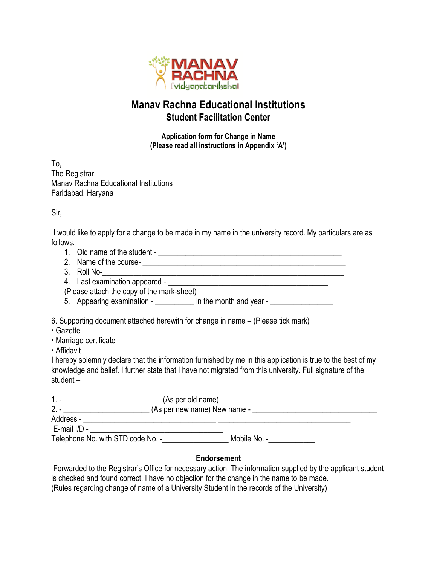

## **Manav Rachna Educational Institutions Student Facilitation Center**

**Application form for Change in Name (Please read all instructions in Appendix 'A')**

To, The Registrar, Manav Rachna Educational Institutions Faridabad, Haryana

Sir,

I would like to apply for a change to be made in my name in the university record. My particulars are as follows. –

- 1. Old name of the student \_\_\_\_\_\_\_\_\_\_\_\_\_\_\_\_\_\_\_\_\_\_\_\_\_\_\_\_\_\_\_\_\_\_\_\_\_\_\_\_\_\_\_\_\_\_\_
- 2. Name of the course-<br>
<u>
</u>
- 3. Roll No-\_\_\_\_\_\_\_\_\_\_\_\_\_\_\_\_\_\_\_\_\_\_\_\_\_\_\_\_\_\_\_\_\_\_\_\_\_\_\_\_\_\_\_\_\_\_\_\_\_\_\_\_\_\_\_\_\_\_\_\_\_\_
- 4. Last examination appeared \_\_\_\_\_\_\_\_\_\_\_\_\_\_\_\_\_\_\_\_\_\_\_\_\_\_\_\_\_\_\_\_\_\_\_\_\_\_\_\_\_
- (Please attach the copy of the mark-sheet)
- $\overline{5}$ . Appearing examination \_\_\_\_\_\_\_\_\_\_ in the month and year \_\_\_\_\_\_\_\_\_\_\_\_\_\_\_\_\_\_

6. Supporting document attached herewith for change in name – (Please tick mark)

- Gazette
- Marriage certificate
- Affidavit

I hereby solemnly declare that the information furnished by me in this application is true to the best of my knowledge and belief. I further state that I have not migrated from this university. Full signature of the student –

| $1 -$                             | (As per old name) |                              |  |
|-----------------------------------|-------------------|------------------------------|--|
| $2. -$                            |                   | (As per new name) New name - |  |
| Address -                         |                   |                              |  |
| E-mail I/D -                      |                   |                              |  |
| Telephone No. with STD code No. - |                   | Mobile No. -                 |  |

## **Endorsement**

Forwarded to the Registrar's Office for necessary action. The information supplied by the applicant student is checked and found correct. I have no objection for the change in the name to be made. (Rules regarding change of name of a University Student in the records of the University)